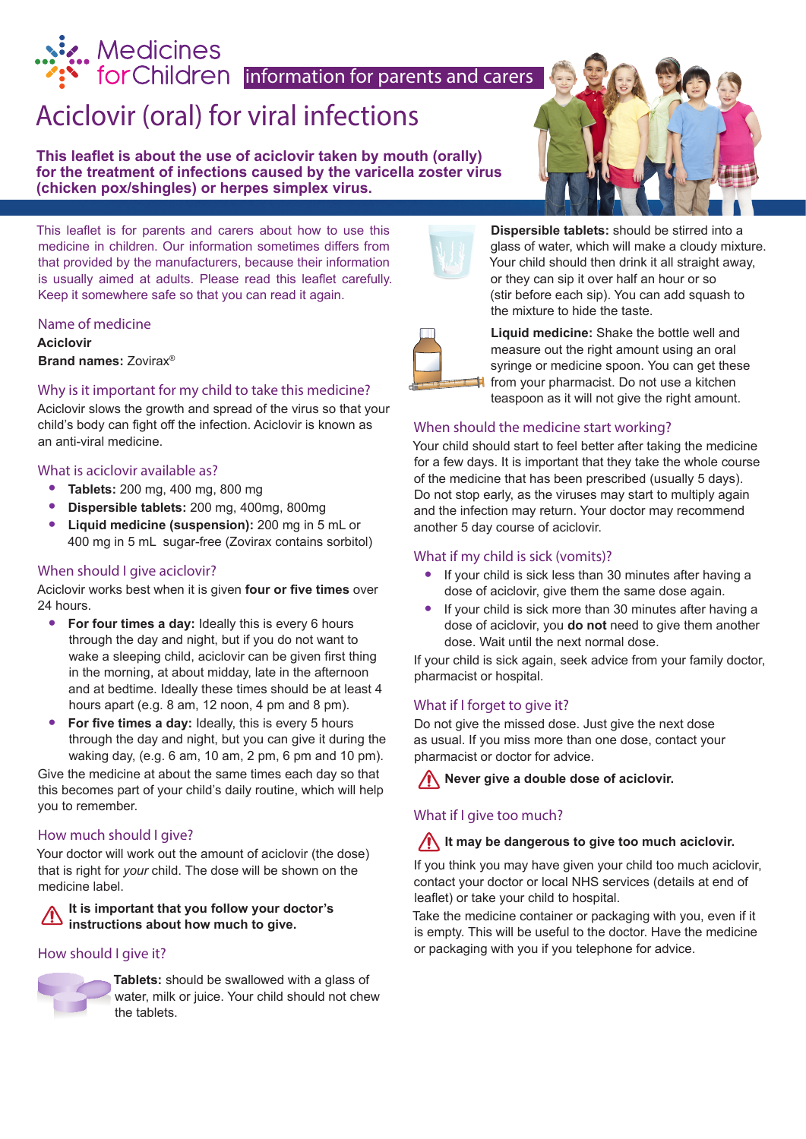# Medicines<br>
for Children information for parents and carers

## Aciclovir (oral) for viral infections

**This leaflet is about the use of aciclovir taken by mouth (orally) for the treatment of infections caused by the varicella zoster virus (chicken pox/shingles) or herpes simplex virus.** 

This leaflet is for parents and carers about how to use this medicine in children. Our information sometimes differs from that provided by the manufacturers, because their information is usually aimed at adults. Please read this leaflet carefully. Keep it somewhere safe so that you can read it again.

#### Name of medicine

**Aciclovir Brand names:** Zovirax®

#### Why is it important for my child to take this medicine?

Aciclovir slows the growth and spread of the virus so that your child's body can fight off the infection. Aciclovir is known as an anti-viral medicine.

#### What is aciclovir available as?

- **• Tablets:** 200 mg, 400 mg, 800 mg
- **• Dispersible tablets:** 200 mg, 400mg, 800mg
- **• Liquid medicine (suspension):** 200 mg in 5 mL or 400 mg in 5 mL sugar-free (Zovirax contains sorbitol)

#### When should I give aciclovir?

Aciclovir works best when it is given **four or five times** over 24 hours.

- **• For four times a day:** Ideally this is every 6 hours through the day and night, but if you do not want to wake a sleeping child, aciclovir can be given first thing in the morning, at about midday, late in the afternoon and at bedtime. Ideally these times should be at least 4 hours apart (e.g. 8 am, 12 noon, 4 pm and 8 pm).
- **• For five times a day:** Ideally, this is every 5 hours through the day and night, but you can give it during the waking day, (e.g. 6 am, 10 am, 2 pm, 6 pm and 10 pm).

Give the medicine at about the same times each day so that this becomes part of your child's daily routine, which will help you to remember.

#### How much should I give?

Your doctor will work out the amount of aciclovir (the dose) that is right for *your* child. The dose will be shown on the medicine label.

**It is important that you follow your doctor's instructions about how much to give.**

#### How should I give it?



**Tablets:** should be swallowed with a glass of water, milk or juice. Your child should not chew the tablets.



**Dispersible tablets:** should be stirred into a glass of water, which will make a cloudy mixture. Your child should then drink it all straight away, or they can sip it over half an hour or so (stir before each sip). You can add squash to the mixture to hide the taste.



**Liquid medicine:** Shake the bottle well and measure out the right amount using an oral syringe or medicine spoon. You can get these from your pharmacist. Do not use a kitchen teaspoon as it will not give the right amount.

#### When should the medicine start working?

Your child should start to feel better after taking the medicine for a few days. It is important that they take the whole course of the medicine that has been prescribed (usually 5 days). Do not stop early, as the viruses may start to multiply again and the infection may return. Your doctor may recommend another 5 day course of aciclovir. From your paramacist. Do not use a<br>teaspoon as it will not give the right<br>Your child should start to feel better after taking the<br>from a few days. It is important that they take the whof<br>of the medicine that has been presc

#### What if my child is sick (vomits)?

- **•** If your child is sick less than 30 minutes after having a dose of aciclovir, give them the same dose again.
- **•** If your child is sick more than 30 minutes after having a dose of aciclovir, you **do not** need to give them another dose. Wait until the next normal dose.

If your child is sick again, seek advice from your family doctor, pharmacist or hospital.

#### What if I forget to give it?

Do not give the missed dose. Just give the next dose as usual. If you miss more than one dose, contact your pharmacist or doctor for advice.

**Never give a double dose of aciclovir.**

#### What if I give too much?

#### **It may be dangerous to give too much aciclovir.**

If you think you may have given your child too much aciclovir, contact your doctor or local NHS services (details at end of leaflet) or take your child to hospital.

Take the medicine container or packaging with you, even if it is empty. This will be useful to the doctor. Have the medicine